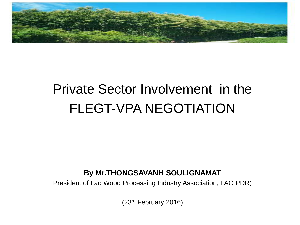

### Private Sector Involvement in the FLEGT-VPA NEGOTIATION

#### **By Mr.THONGSAVANH SOULIGNAMAT**

President of Lao Wood Processing Industry Association, LAO PDR)

(23rd February 2016)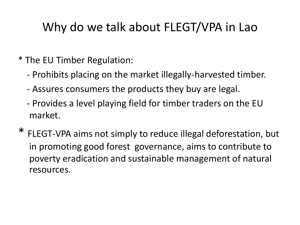#### Why do we talk about FLEGT/VPA in Lao

- \* The EU Timber Regulation:
	- Prohibits placing on the market illegally-harvested timber.
	- Assures consumers the products they buy are legal.
	- Provides a level playing field for timber traders on the EU market.
- FLEGT-VPA aims not simply to reduce illegal deforestation, but in promoting good forest governance, aims to contribute to poverty eradication and sustainable management of natural resources.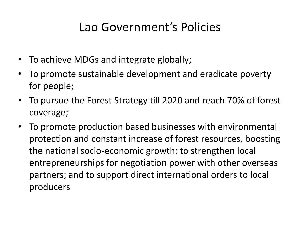#### Lao Government's Policies

- To achieve MDGs and integrate globally;
- To promote sustainable development and eradicate poverty for people;
- To pursue the Forest Strategy till 2020 and reach 70% of forest coverage;
- To promote production based businesses with environmental protection and constant increase of forest resources, boosting the national socio-economic growth; to strengthen local entrepreneurships for negotiation power with other overseas partners; and to support direct international orders to local producers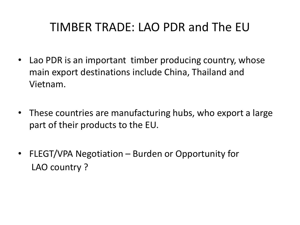#### TIMBER TRADE: LAO PDR and The EU

- Lao PDR is an important timber producing country, whose main export destinations include China, Thailand and Vietnam.
- These countries are manufacturing hubs, who export a large part of their products to the EU.
- FLEGT/VPA Negotiation Burden or Opportunity for LAO country ?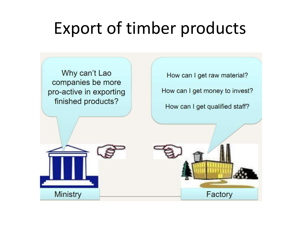## Export of timber products

Why can't Lao companies be more pro-active in exporting finished products?

How can I get raw material?

How can I get money to invest?

How can I get qualified staff?



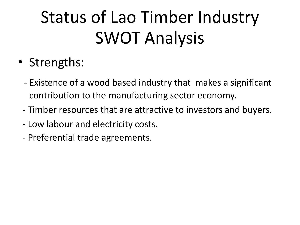# Status of Lao Timber Industry SWOT Analysis

- Strengths:
	- Existence of a wood based industry that makes a significant contribution to the manufacturing sector economy.
	- Timber resources that are attractive to investors and buyers.
	- Low labour and electricity costs.
	- Preferential trade agreements.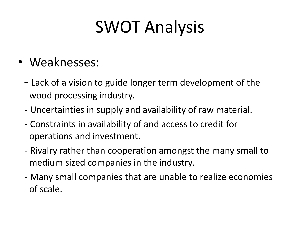## SWOT Analysis

- Weaknesses:
	- Lack of a vision to guide longer term development of the wood processing industry.
	- Uncertainties in supply and availability of raw material.
	- Constraints in availability of and access to credit for operations and investment.
	- Rivalry rather than cooperation amongst the many small to medium sized companies in the industry.
	- Many small companies that are unable to realize economies of scale.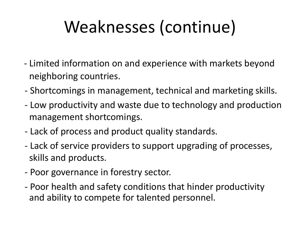# Weaknesses (continue)

- Limited information on and experience with markets beyond neighboring countries.
- Shortcomings in management, technical and marketing skills.
- Low productivity and waste due to technology and production management shortcomings.
- Lack of process and product quality standards.
- Lack of service providers to support upgrading of processes, skills and products.
- Poor governance in forestry sector.
- Poor health and safety conditions that hinder productivity and ability to compete for talented personnel.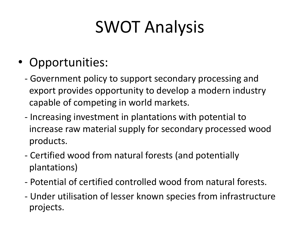# SWOT Analysis

#### • Opportunities:

- Government policy to support secondary processing and export provides opportunity to develop a modern industry capable of competing in world markets.
- Increasing investment in plantations with potential to increase raw material supply for secondary processed wood products.
- Certified wood from natural forests (and potentially plantations)
- Potential of certified controlled wood from natural forests.
- Under utilisation of lesser known species from infrastructure projects.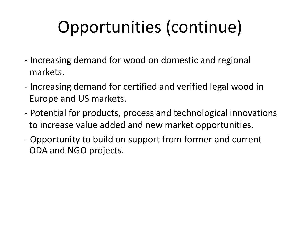# Opportunities (continue)

- Increasing demand for wood on domestic and regional markets.
- Increasing demand for certified and verified legal wood in Europe and US markets.
- Potential for products, process and technological innovations to increase value added and new market opportunities.
- Opportunity to build on support from former and current ODA and NGO projects.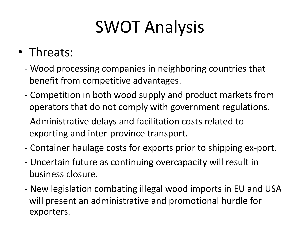# SWOT Analysis

#### • Threats:

- Wood processing companies in neighboring countries that benefit from competitive advantages.
- Competition in both wood supply and product markets from operators that do not comply with government regulations.
- Administrative delays and facilitation costs related to exporting and inter-province transport.
- Container haulage costs for exports prior to shipping ex-port.
- Uncertain future as continuing overcapacity will result in business closure.
- New legislation combating illegal wood imports in EU and USA will present an administrative and promotional hurdle for exporters.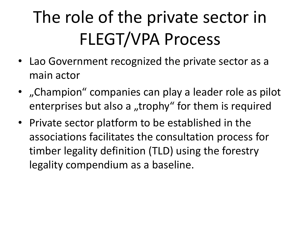# The role of the private sector in FLEGT/VPA Process

- Lao Government recognized the private sector as a main actor
- "Champion" companies can play a leader role as pilot enterprises but also a "trophy" for them is required
- Private sector platform to be established in the associations facilitates the consultation process for timber legality definition (TLD) using the forestry legality compendium as a baseline.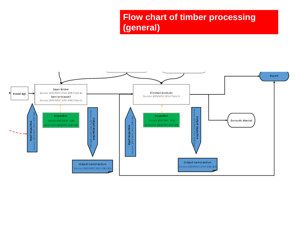#### **Flow chart of timber processing (general)**

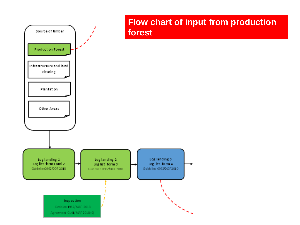

## **Flow chart of input from production**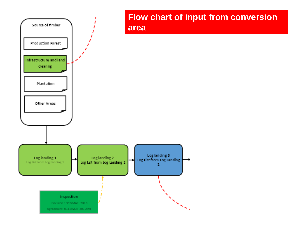

## **Flow chart of input from conversion**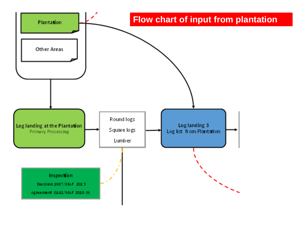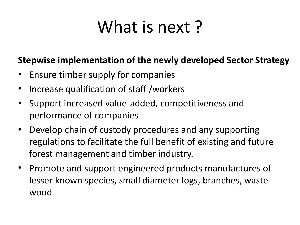## What is next?

#### **Stepwise implementation of the newly developed Sector Strategy**

- Ensure timber supply for companies
- Increase qualification of staff /workers
- Support increased value-added, competitiveness and performance of companies
- Develop chain of custody procedures and any supporting regulations to facilitate the full benefit of existing and future forest management and timber industry.
- Promote and support engineered products manufactures of lesser known species, small diameter logs, branches, waste wood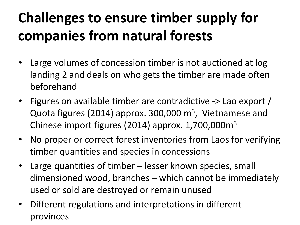## **Challenges to ensure timber supply for companies from natural forests**

- Large volumes of concession timber is not auctioned at log landing 2 and deals on who gets the timber are made often beforehand
- Figures on available timber are contradictive -> Lao export / Quota figures (2014) approx. 300,000 m<sup>3</sup>, Vietnamese and Chinese import figures (2014) approx. 1,700,000m<sup>3</sup>
- No proper or correct forest inventories from Laos for verifying timber quantities and species in concessions
- Large quantities of timber lesser known species, small dimensioned wood, branches – which cannot be immediately used or sold are destroyed or remain unused
- Different regulations and interpretations in different provinces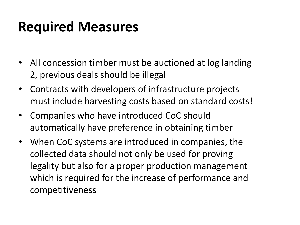### **Required Measures**

- All concession timber must be auctioned at log landing 2, previous deals should be illegal
- Contracts with developers of infrastructure projects must include harvesting costs based on standard costs!
- Companies who have introduced CoC should automatically have preference in obtaining timber
- When CoC systems are introduced in companies, the collected data should not only be used for proving legality but also for a proper production management which is required for the increase of performance and competitiveness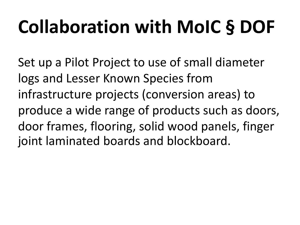# **Collaboration with MoIC § DOF**

Set up a Pilot Project to use of small diameter logs and Lesser Known Species from infrastructure projects (conversion areas) to produce a wide range of products such as doors, door frames, flooring, solid wood panels, finger joint laminated boards and blockboard.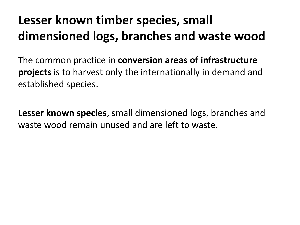### **Lesser known timber species, small dimensioned logs, branches and waste wood**

The common practice in **conversion areas of infrastructure projects** is to harvest only the internationally in demand and established species.

**Lesser known species**, small dimensioned logs, branches and waste wood remain unused and are left to waste.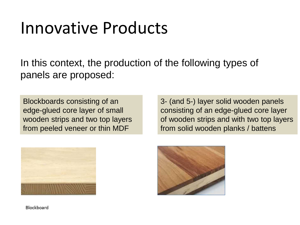## Innovative Products

In this context, the production of the following types of panels are proposed:

Blockboards consisting of an edge-glued core layer of small wooden strips and two top layers from peeled veneer or thin MDF

3- (and 5-) layer solid wooden panels consisting of an edge-glued core layer of wooden strips and with two top layers from solid wooden planks / battens





Blockboard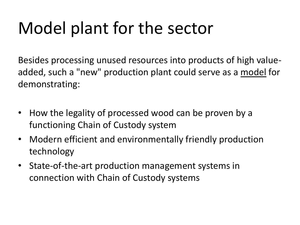## Model plant for the sector

Besides processing unused resources into products of high valueadded, such a "new" production plant could serve as a model for demonstrating:

- How the legality of processed wood can be proven by a functioning Chain of Custody system
- Modern efficient and environmentally friendly production technology
- State-of-the-art production management systems in connection with Chain of Custody systems